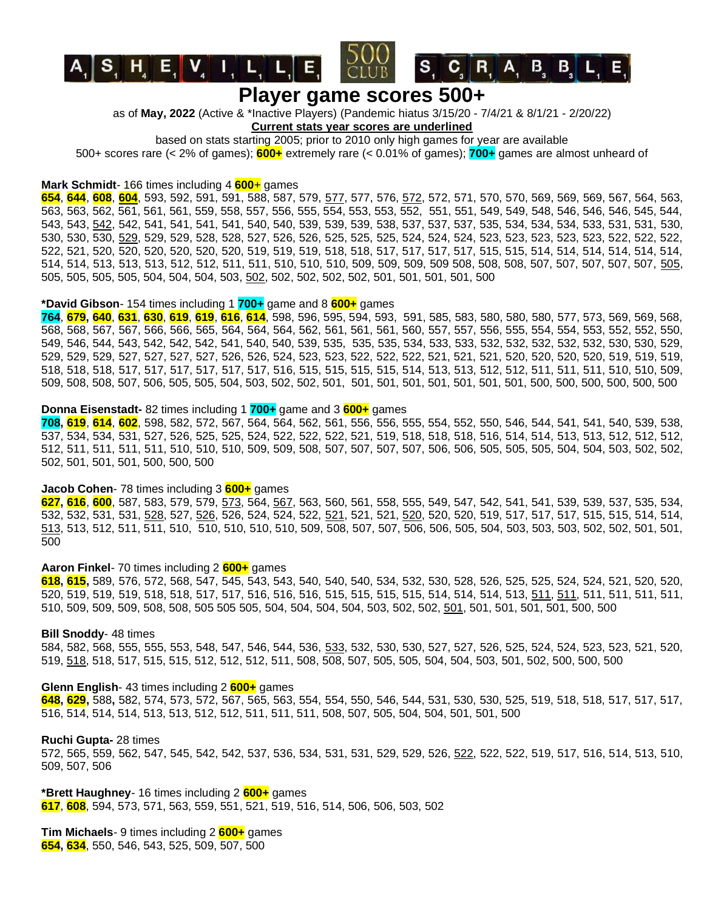

 $\begin{bmatrix} \mathbf{S} \end{bmatrix}$   $\begin{bmatrix} \mathbf{C} \end{bmatrix}$   $\begin{bmatrix} \mathbf{R} \end{bmatrix}$   $\begin{bmatrix} \mathbf{A} \end{bmatrix}$   $\begin{bmatrix} \mathbf{B} \end{bmatrix}$   $\begin{bmatrix} \mathbf{L} \end{bmatrix}$   $\begin{bmatrix} \mathbf{E} \end{bmatrix}$ 

as of **May, 2022** (Active & \*Inactive Players) (Pandemic hiatus 3/15/20 - 7/4/21 & 8/1/21 - 2/20/22)

### **Current stats year scores are underlined**

based on stats starting 2005; prior to 2010 only high games for year are available

500+ scores rare (< 2% of games); **600+** extremely rare (< 0.01% of games); **700+** games are almost unheard of

#### **Mark Schmidt**- 166 times including 4 **600**+ games

**654**, **644**, **608**, **604**, 593, 592, 591, 591, 588, 587, 579, 577, 577, 576, 572, 572, 571, 570, 570, 569, 569, 569, 567, 564, 563, 563, 563, 562, 561, 561, 561, 559, 558, 557, 556, 555, 554, 553, 553, 552, 551, 551, 549, 549, 548, 546, 546, 546, 545, 544, 543, 543, 542, 542, 541, 541, 541, 541, 540, 540, 539, 539, 539, 538, 537, 537, 537, 535, 534, 534, 534, 533, 531, 531, 530, 530, 530, 530, 529, 529, 529, 528, 528, 527, 526, 526, 525, 525, 525, 524, 524, 524, 523, 523, 523, 523, 523, 522, 522, 522, 522, 521, 520, 520, 520, 520, 520, 520, 519, 519, 519, 518, 518, 517, 517, 517, 517, 515, 515, 514, 514, 514, 514, 514, 514, 514, 514, 513, 513, 513, 512, 512, 511, 511, 510, 510, 510, 509, 509, 509, 509 508, 508, 508, 507, 507, 507, 507, 507, 505, 505, 505, 505, 505, 504, 504, 504, 503, 502, 502, 502, 502, 502, 501, 501, 501, 501, 500

# **\*David Gibson**- 154 times including 1 **700+** game and 8 **600+** games

**764**, **679, 640**, **631**, **630**, **619**, **619**, **616**, **614**, 598, 596, 595, 594, 593, 591, 585, 583, 580, 580, 580, 577, 573, 569, 569, 568, 568, 568, 567, 567, 566, 566, 565, 564, 564, 564, 562, 561, 561, 561, 560, 557, 557, 556, 555, 554, 554, 553, 552, 552, 550, 549, 546, 544, 543, 542, 542, 542, 541, 540, 540, 539, 535, 535, 535, 534, 533, 533, 532, 532, 532, 532, 532, 530, 530, 529, 529, 529, 529, 527, 527, 527, 527, 526, 526, 524, 523, 523, 522, 522, 522, 521, 521, 521, 520, 520, 520, 520, 519, 519, 519, 518, 518, 518, 517, 517, 517, 517, 517, 517, 516, 515, 515, 515, 515, 514, 513, 513, 512, 512, 511, 511, 511, 510, 510, 509, 509, 508, 508, 507, 506, 505, 505, 504, 503, 502, 502, 501, 501, 501, 501, 501, 501, 501, 501, 500, 500, 500, 500, 500, 500

## **Donna Eisenstadt-** 82 times including 1 **700+** game and 3 **600+** games

**708, 619**, **614**, **602**, 598, 582, 572, 567, 564, 564, 562, 561, 556, 556, 555, 554, 552, 550, 546, 544, 541, 541, 540, 539, 538, 537, 534, 534, 531, 527, 526, 525, 525, 524, 522, 522, 522, 521, 519, 518, 518, 518, 516, 514, 514, 513, 513, 512, 512, 512, 512, 511, 511, 511, 511, 510, 510, 510, 509, 509, 508, 507, 507, 507, 507, 506, 506, 505, 505, 505, 504, 504, 503, 502, 502, 502, 501, 501, 501, 500, 500, 500

### **Jacob Cohen**- 78 times including 3 **600+** games

**627, 616**, **600**, 587, 583, 579, 579, 573, 564, 567, 563, 560, 561, 558, 555, 549, 547, 542, 541, 541, 539, 539, 537, 535, 534, 532, 532, 531, 531, <u>528,</u> 527, <u>526,</u> 526, 524, 524, 522, <u>521</u>, 521, 521, <u>520</u>, 520, 520, 519, 517, 517, 517, 515, 515, 514, 514, 513, 513, 512, 511, 511, 510, 510, 510, 510, 510, 509, 508, 507, 507, 506, 506, 505, 504, 503, 503, 503, 502, 502, 501, 501, 500

# **Aaron Finkel**- 70 times including 2 **600+** games

**618, 615,** 589, 576, 572, 568, 547, 545, 543, 543, 540, 540, 540, 534, 532, 530, 528, 526, 525, 525, 524, 524, 521, 520, 520, 520, 519, 519, 519, 518, 518, 517, 517, 516, 516, 516, 515, 515, 515, 515, 514, 514, 514, 513, 511, 511, 511, 511, 511, 511, 510, 509, 509, 509, 508, 508, 505 505 505, 504, 504, 504, 504, 503, 502, 502, 501, 501, 501, 501, 501, 500, 500

#### **Bill Snoddy**- 48 times

584, 582, 568, 555, 555, 553, 548, 547, 546, 544, 536, 533, 532, 530, 530, 527, 527, 526, 525, 524, 524, 523, 523, 521, 520, 519, 518, 518, 517, 515, 515, 512, 512, 512, 511, 508, 508, 507, 505, 505, 504, 504, 503, 501, 502, 500, 500, 500

#### **Glenn English**- 43 times including 2 **600+** games

**648, 629,** 588**,** 582, 574, 573, 572, 567, 565, 563, 554, 554, 550, 546, 544, 531, 530, 530, 525, 519, 518, 518, 517, 517, 517, 516, 514, 514, 514, 513, 513, 512, 512, 511, 511, 511, 508, 507, 505, 504, 504, 501, 501, 500

### **Ruchi Gupta-** 28 times

572, 565, 559, 562, 547, 545, 542, 542, 537, 536, 534, 531, 531, 529, 529, 526, 522, 522, 522, 519, 517, 516, 514, 513, 510, 509, 507, 506

**\*Brett Haughney**- 16 times including 2 **600+** games **617**, **608**, 594, 573, 571, 563, 559, 551, 521, 519, 516, 514, 506, 506, 503, 502

**Tim Michaels**- 9 times including 2 **600+** games **654, 634**, 550, 546, 543, 525, 509, 507, 500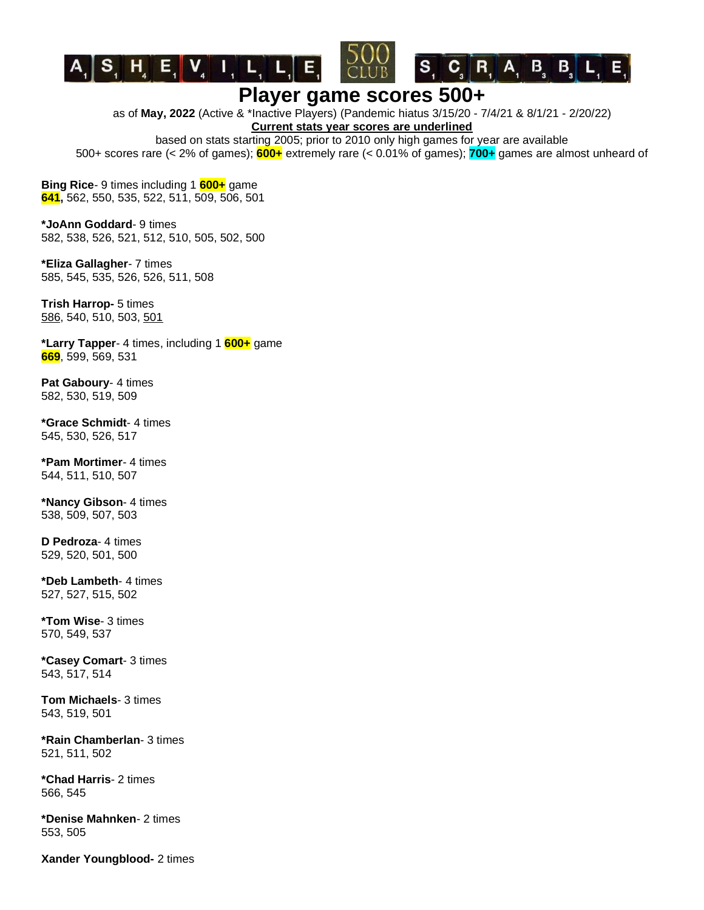



as of **May, 2022** (Active & \*Inactive Players) (Pandemic hiatus 3/15/20 - 7/4/21 & 8/1/21 - 2/20/22)

**Current stats year scores are underlined**

based on stats starting 2005; prior to 2010 only high games for year are available 500+ scores rare (< 2% of games); **600+** extremely rare (< 0.01% of games); **700+** games are almost unheard of

**Bing Rice**- 9 times including 1 **600+** game **641,** 562, 550, 535, 522, 511, 509, 506, 501

**\*JoAnn Goddard**- 9 times 582, 538, 526, 521, 512, 510, 505, 502, 500

**\*Eliza Gallagher**- 7 times 585, 545, 535, 526, 526, 511, 508

**Trish Harrop-** 5 times 586, 540, 510, 503, 501

**\*Larry Tapper**- 4 times, including 1 **600+** game **669**, 599, 569, 531

**Pat Gaboury**- 4 times 582, 530, 519, 509

**\*Grace Schmidt**- 4 times 545, 530, 526, 517

**\*Pam Mortimer**- 4 times 544, 511, 510, 507

**\*Nancy Gibson**- 4 times 538, 509, 507, 503

**D Pedroza**- 4 times 529, 520, 501, 500

**\*Deb Lambeth**- 4 times 527, 527, 515, 502

**\*Tom Wise**- 3 times 570, 549, 537

**\*Casey Comart**- 3 times 543, 517, 514

**Tom Michaels**- 3 times 543, 519, 501

**\*Rain Chamberlan**- 3 times 521, 511, 502

**\*Chad Harris**- 2 times 566, 545

**\*Denise Mahnken**- 2 times 553, 505

**Xander Youngblood-** 2 times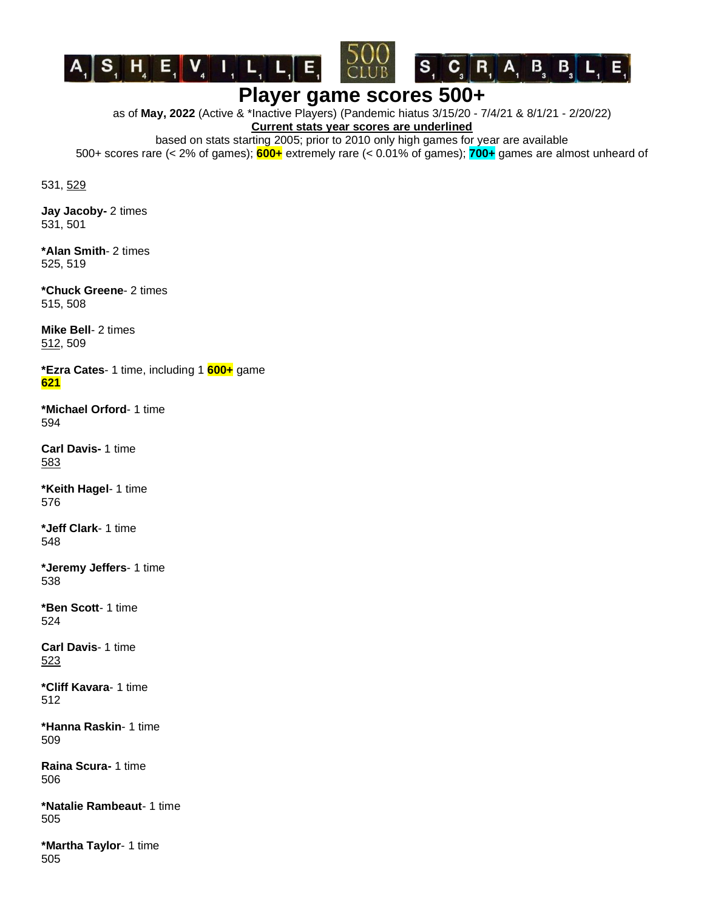

 $\begin{bmatrix} \mathbf{S} & \mathbf{C} \end{bmatrix}$ ,  $\begin{bmatrix} \mathbf{R} & \mathbf{A} & \mathbf{B} \end{bmatrix}$ ,  $\begin{bmatrix} \mathbf{B} & \mathbf{B} \end{bmatrix}$ ,  $\begin{bmatrix} \mathbf{L} & \mathbf{E} \end{bmatrix}$ 

as of **May, 2022** (Active & \*Inactive Players) (Pandemic hiatus 3/15/20 - 7/4/21 & 8/1/21 - 2/20/22)

**Current stats year scores are underlined**

based on stats starting 2005; prior to 2010 only high games for year are available 500+ scores rare (< 2% of games); **600+** extremely rare (< 0.01% of games); **700+** games are almost unheard of

531, 529

**Jay Jacoby-** 2 times 531, 501

**\*Alan Smith**- 2 times 525, 519

**\*Chuck Greene**- 2 times 515, 508

**Mike Bell**- 2 times 512, 509

**\*Ezra Cates**- 1 time, including 1 **600+** game **621**

**\*Michael Orford**- 1 time 594

**Carl Davis-** 1 time 583

**\*Keith Hagel**- 1 time 576

**\*Jeff Clark**- 1 time 548

**\*Jeremy Jeffers**- 1 time 538

**\*Ben Scott**- 1 time 524

**Carl Davis**- 1 time 523

**\*Cliff Kavara**- 1 time 512

**\*Hanna Raskin**- 1 time 509

**Raina Scura-** 1 time 506

**\*Natalie Rambeaut**- 1 time 505

**\*Martha Taylor**- 1 time 505